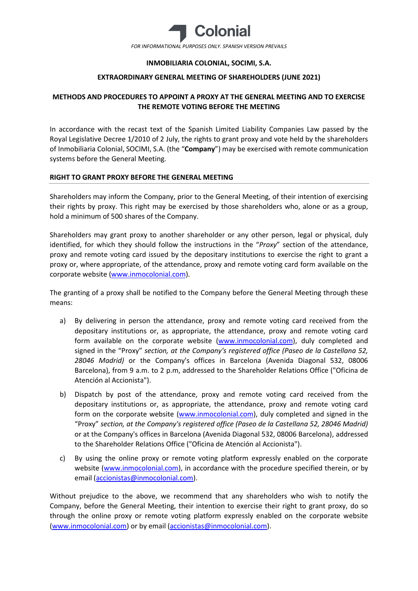

## **INMOBILIARIA COLONIAL, SOCIMI, S.A.**

## **EXTRAORDINARY GENERAL MEETING OF SHAREHOLDERS (JUNE 2021)**

# **METHODS AND PROCEDURES TO APPOINT A PROXY AT THE GENERAL MEETING AND TO EXERCISE THE REMOTE VOTING BEFORE THE MEETING**

In accordance with the recast text of the Spanish Limited Liability Companies Law passed by the Royal Legislative Decree 1/2010 of 2 July, the rights to grant proxy and vote held by the shareholders of Inmobiliaria Colonial, SOCIMI, S.A. (the "**Company**") may be exercised with remote communication systems before the General Meeting.

### **RIGHT TO GRANT PROXY BEFORE THE GENERAL MEETING**

Shareholders may inform the Company, prior to the General Meeting, of their intention of exercising their rights by proxy. This right may be exercised by those shareholders who, alone or as a group, hold a minimum of 500 shares of the Company.

Shareholders may grant proxy to another shareholder or any other person, legal or physical, duly identified, for which they should follow the instructions in the "*Proxy*" section of the attendance, proxy and remote voting card issued by the depositary institutions to exercise the right to grant a proxy or, where appropriate, of the attendance, proxy and remote voting card form available on the corporate website [\(www.inmocolonial.com\)](http://www.inmocolonial.com/).

The granting of a proxy shall be notified to the Company before the General Meeting through these means:

- a) By delivering in person the attendance, proxy and remote voting card received from the depositary institutions or, as appropriate, the attendance, proxy and remote voting card form available on the corporate website [\(www.inmocolonial.com\)](http://www.inmocolonial.com/), duly completed and signed in the "Proxy" *section, at the Company's registered office (Paseo de la Castellana 52, 28046 Madrid)* or the Company's offices in Barcelona (Avenida Diagonal 532, 08006 Barcelona), from 9 a.m. to 2 p.m, addressed to the Shareholder Relations Office ("Oficina de Atención al Accionista").
- b) Dispatch by post of the attendance, proxy and remote voting card received from the depositary institutions or, as appropriate, the attendance, proxy and remote voting card form on the corporate website [\(www.inmocolonial.com\)](http://www.inmocolonial.com/), duly completed and signed in the "Proxy" *section, at the Company's registered office (Paseo de la Castellana 52, 28046 Madrid)*  or at the Company's offices in Barcelona (Avenida Diagonal 532, 08006 Barcelona), addressed to the Shareholder Relations Office ("Oficina de Atención al Accionista").
- c) By using the online proxy or remote voting platform expressly enabled on the corporate website [\(www.inmocolonial.com\)](http://www.inmocolonial.com/), in accordance with the procedure specified therein, or by email [\(accionistas@inmocolonial.com\)](mailto:accionistas@inmocolonial.com).

Without prejudice to the above, we recommend that any shareholders who wish to notify the Company, before the General Meeting, their intention to exercise their right to grant proxy, do so through the online proxy or remote voting platform expressly enabled on the corporate website [\(www.inmocolonial.com\)](http://www.inmocolonial.com/) or by email [\(accionistas@inmocolonial.com\)](mailto:accionistas@inmocolonial.com).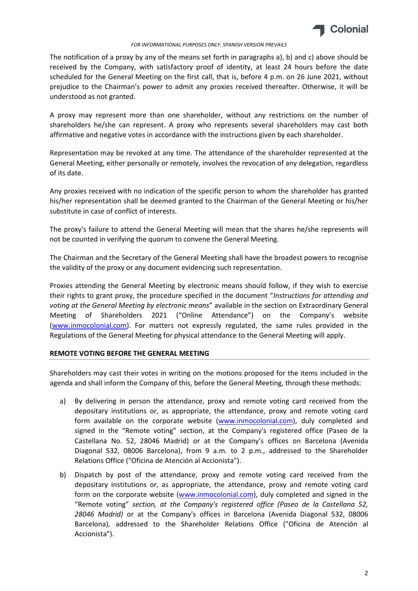

#### *FOR INFORMATIONAL PURPOSES ONLY. SPANISH VERSION PREVAILS*

The notification of a proxy by any of the means set forth in paragraphs a), b) and c) above should be received by the Company, with satisfactory proof of identity, at least 24 hours before the date scheduled for the General Meeting on the first call, that is, before 4 p.m. on 26 June 2021, without prejudice to the Chairman's power to admit any proxies received thereafter. Otherwise, it will be understood as not granted.

A proxy may represent more than one shareholder, without any restrictions on the number of shareholders he/she can represent. A proxy who represents several shareholders may cast both affirmative and negative votes in accordance with the instructions given by each shareholder.

Representation may be revoked at any time. The attendance of the shareholder represented at the General Meeting, either personally or remotely, involves the revocation of any delegation, regardless of its date.

Any proxies received with no indication of the specific person to whom the shareholder has granted his/her representation shall be deemed granted to the Chairman of the General Meeting or his/her substitute in case of conflict of interests.

The proxy's failure to attend the General Meeting will mean that the shares he/she represents will not be counted in verifying the quorum to convene the General Meeting.

The Chairman and the Secretary of the General Meeting shall have the broadest powers to recognise the validity of the proxy or any document evidencing such representation.

Proxies attending the General Meeting by electronic means should follow, if they wish to exercise their rights to grant proxy, the procedure specified in the document "*Instructions for attending and voting at the General Meeting by electronic means*" available in the section on Extraordinary General Meeting of Shareholders 2021 ("Online Attendance") on the Company's website [\(www.inmocolonial.com\)](http://www.inmocolonial.com/). For matters not expressly regulated, the same rules provided in the Regulations of the General Meeting for physical attendance to the General Meeting will apply.

## **REMOTE VOTING BEFORE THE GENERAL MEETING**

Shareholders may cast their votes in writing on the motions proposed for the items included in the agenda and shall inform the Company of this, before the General Meeting, through these methods:

- a) By delivering in person the attendance, proxy and remote voting card received from the depositary institutions or, as appropriate, the attendance, proxy and remote voting card form available on the corporate website [\(www.inmocolonial.com\)](http://www.inmocolonial.com/), duly completed and signed in the "Remote voting" section, at the Company's registered office (Paseo de la Castellana No. 52, 28046 Madrid) or at the Company's offices on Barcelona (Avenida Diagonal 532, 08006 Barcelona), from 9 a.m. to 2 p.m., addressed to the Shareholder Relations Office ("Oficina de Atención al Accionista").
- b) Dispatch by post of the attendance, proxy and remote voting card received from the depositary institutions or, as appropriate, the attendance, proxy and remote voting card form on the corporate website [\(www.inmocolonial.com\)](http://www.inmocolonial.com/), duly completed and signed in the "Remote voting" *section, at the Company's registered office (Paseo de la Castellana 52, 28046 Madrid)* or at the Company's offices in Barcelona (Avenida Diagonal 532, 08006 Barcelona), addressed to the Shareholder Relations Office ("Oficina de Atención al Accionista").